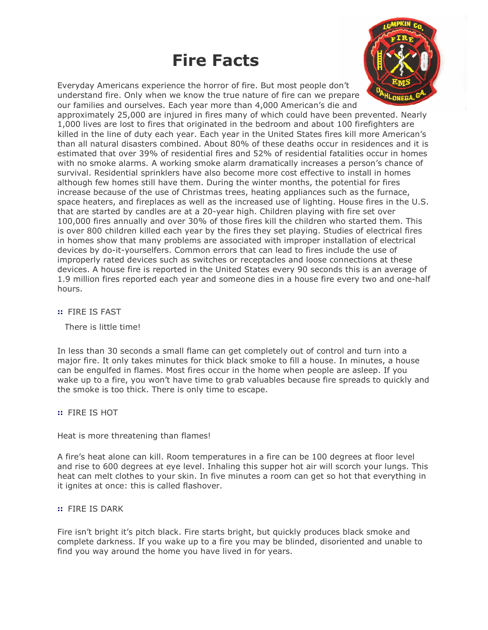# Fire Facts

Everyday Americans experience the horror of fire. But most people don't understand fire. Only when we know the true nature of fire can we prepare our families and ourselves. Each year more than 4,000 American's die and



approximately 25,000 are injured in fires many of which could have been prevented. Nearly 1,000 lives are lost to fires that originated in the bedroom and about 100 firefighters are killed in the line of duty each year. Each year in the United States fires kill more American's than all natural disasters combined. About 80% of these deaths occur in residences and it is estimated that over 39% of residential fires and 52% of residential fatalities occur in homes with no smoke alarms. A working smoke alarm dramatically increases a person's chance of survival. Residential sprinklers have also become more cost effective to install in homes although few homes still have them. During the winter months, the potential for fires increase because of the use of Christmas trees, heating appliances such as the furnace, space heaters, and fireplaces as well as the increased use of lighting. House fires in the U.S. that are started by candles are at a 20-year high. Children playing with fire set over 100,000 fires annually and over 30% of those fires kill the children who started them. This is over 800 children killed each year by the fires they set playing. Studies of electrical fires in homes show that many problems are associated with improper installation of electrical devices by do-it-yourselfers. Common errors that can lead to fires include the use of improperly rated devices such as switches or receptacles and loose connections at these devices. A house fire is reported in the United States every 90 seconds this is an average of 1.9 million fires reported each year and someone dies in a house fire every two and one-half hours.

:: FIRE IS FAST

There is little time!

In less than 30 seconds a small flame can get completely out of control and turn into a major fire. It only takes minutes for thick black smoke to fill a house. In minutes, a house can be engulfed in flames. Most fires occur in the home when people are asleep. If you wake up to a fire, you won't have time to grab valuables because fire spreads to quickly and the smoke is too thick. There is only time to escape.

# :: FIRE IS HOT

# Heat is more threatening than flames!

A fire's heat alone can kill. Room temperatures in a fire can be 100 degrees at floor level and rise to 600 degrees at eye level. Inhaling this supper hot air will scorch your lungs. This heat can melt clothes to your skin. In five minutes a room can get so hot that everything in it ignites at once: this is called flashover.

# :: FIRE IS DARK

Fire isn't bright it's pitch black. Fire starts bright, but quickly produces black smoke and complete darkness. If you wake up to a fire you may be blinded, disoriented and unable to find you way around the home you have lived in for years.